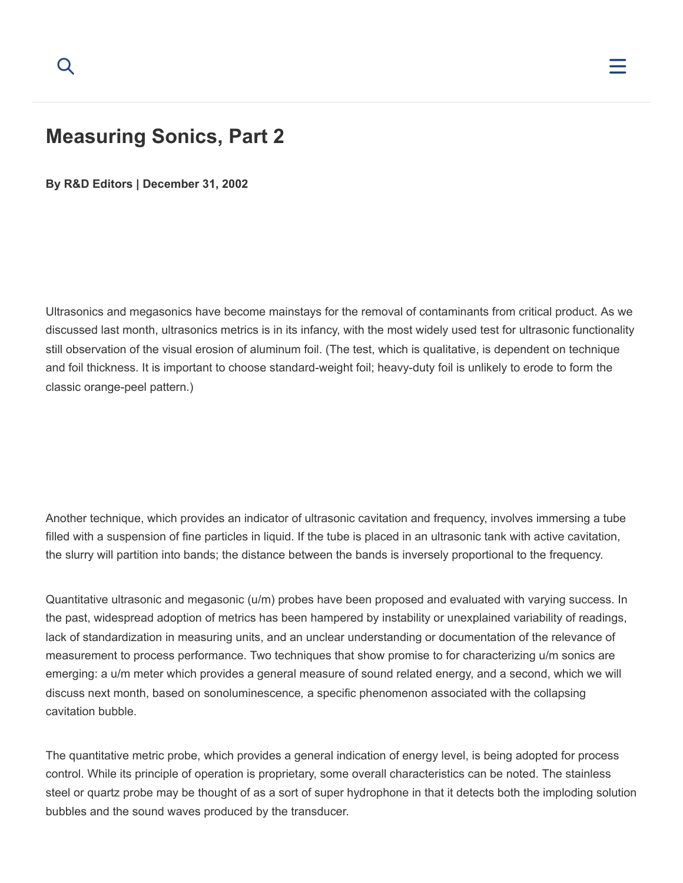

## **Measuring Sonics, Part 2**

**By [R&D Editors](https://www.rdworldonline.com/author/rd-editors/) | December 31, 2002**

Ultrasonics and megasonics have become mainstays for the removal of contaminants from critical product. As we discussed last month, ultrasonics metrics is in its infancy, with the most widely used test for ultrasonic functionality still observation of the visual erosion of aluminum foil. (The test, which is qualitative, is dependent on technique and foil thickness. It is important to choose standard-weight foil; heavy-duty foil is unlikely to erode to form the classic orange-peel pattern.)

Another technique, which provides an indicator of ultrasonic cavitation and frequency, involves immersing a tube filled with a suspension of fine particles in liquid. If the tube is placed in an ultrasonic tank with active cavitation, the slurry will partition into bands; the distance between the bands is inversely proportional to the frequency.

Quantitative ultrasonic and megasonic (u/m) probes have been proposed and evaluated with varying success. In the past, widespread adoption of metrics has been hampered by instability or unexplained variability of readings, lack of standardization in measuring units, and an unclear understanding or documentation of the relevance of measurement to process performance. Two techniques that show promise to for characterizing u/m sonics are emerging: a u/m meter which provides a general measure of sound related energy, and a second, which we will discuss next month, based on sonoluminescence*,* a specific phenomenon associated with the collapsing cavitation bubble.

The quantitative metric probe, which provides a general indication of energy level, is being adopted for process control. While its principle of operation is proprietary, some overall characteristics can be noted. The stainless steel or quartz probe may be thought of as a sort of super hydrophone in that it detects both the imploding solution bubbles and the sound waves produced by the transducer.